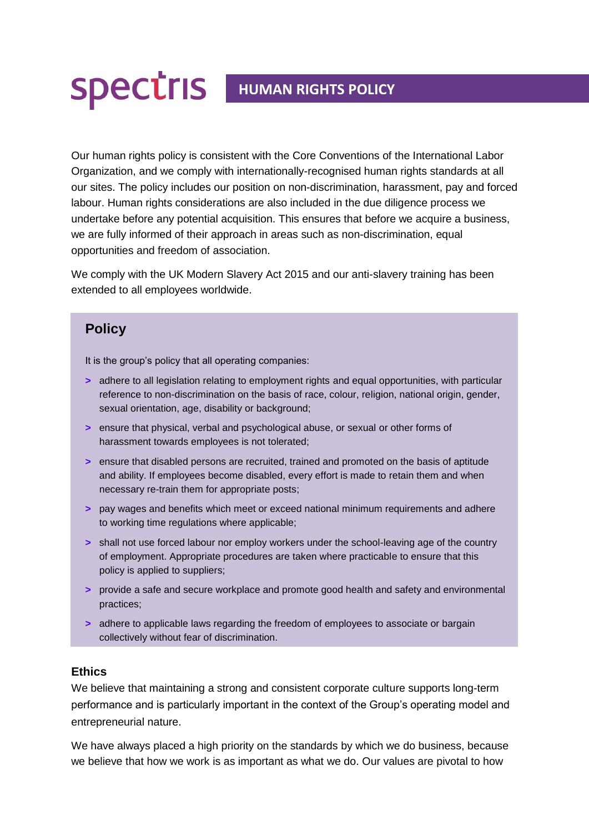## **HUMAN RIGHTS POLICY**

Our human rights policy is consistent with the Core Conventions of the International Labor Organization, and we comply with internationally-recognised human rights standards at all our sites. The policy includes our position on non-discrimination, harassment, pay and forced labour. Human rights considerations are also included in the due diligence process we undertake before any potential acquisition. This ensures that before we acquire a business, we are fully informed of their approach in areas such as non-discrimination, equal opportunities and freedom of association.

We comply with the UK Modern Slavery Act 2015 and our anti-slavery training has been extended to all employees worldwide.

## **Policy**

It is the group's policy that all operating companies:

- **>** adhere to all legislation relating to employment rights and equal opportunities, with particular reference to non-discrimination on the basis of race, colour, religion, national origin, gender, sexual orientation, age, disability or background;
- **>** ensure that physical, verbal and psychological abuse, or sexual or other forms of harassment towards employees is not tolerated;
- **>** ensure that disabled persons are recruited, trained and promoted on the basis of aptitude and ability. If employees become disabled, every effort is made to retain them and when necessary re-train them for appropriate posts;
- **>** pay wages and benefits which meet or exceed national minimum requirements and adhere to working time regulations where applicable;
- **>** shall not use forced labour nor employ workers under the school-leaving age of the country of employment. Appropriate procedures are taken where practicable to ensure that this policy is applied to suppliers;
- **>** provide a safe and secure workplace and promote good health and safety and environmental practices;
- **>** adhere to applicable laws regarding the freedom of employees to associate or bargain collectively without fear of discrimination.

## **Ethics**

We believe that maintaining a strong and consistent corporate culture supports long-term performance and is particularly important in the context of the Group's operating model and entrepreneurial nature.

We have always placed a high priority on the standards by which we do business, because we believe that how we work is as important as what we do. Our values are pivotal to how